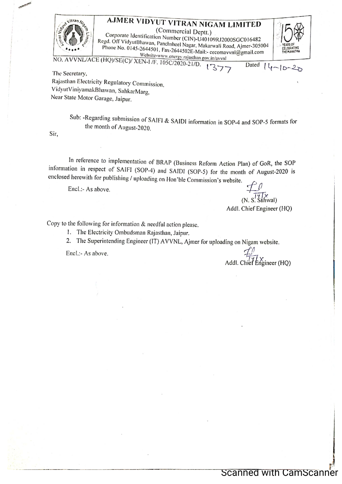

The Secretary, Rajasthan Electricity Regulatory Commission, VidyutViniyamakBhawan, SahkarMarg, Near State Motor Garage, Jaipur.

> Sub: -Regarding submission of SAIFI & SAIDI information in SOP-4 and SOP-5 formats for the month of August-2020.

Sir,

In reference to implementation of BRAP (Business Reform Action Plan) of GoR, the SOP information in respect of SAIFI (SOP-4) and SAIDI (SOP-5) for the month of August-2020 is enclosed herewith for publishing / uploading on Hon'ble Commission's website.

Encl.:- As above.

 $(N, S^1 \hat{\mathcal{S}}_n^N)$ Addl. Chief Engineer (HQ)

Copy to the following for information & needful action please.

1. The Electricity Ombudsman Rajasthan, Jaipur.

2. The Superintending Engineer (IT) AVVNL, Ajmer for uploading on Nigam website.

Encl.:- As above.

Addl. Chief Engineer (HO)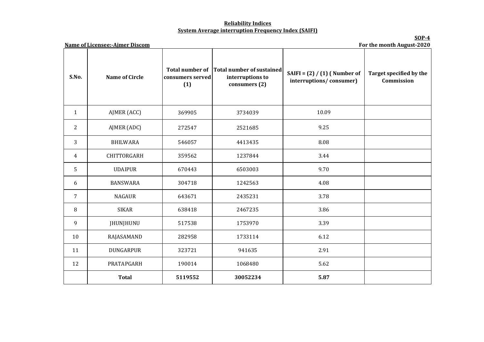## **Reliability Indices System Average interruption Frequency Index (SAIFI)**

**SOP-4 For the month August-2020**

| S.No.          | <b>Name of Circle</b> | consumers served<br>(1) | Total number of Total number of sustained<br>interruptions to<br>consumers (2) | SAIFI = $(2) / (1)$ (Number of<br>interruptions/consumer) | Target specified by the<br>Commission |
|----------------|-----------------------|-------------------------|--------------------------------------------------------------------------------|-----------------------------------------------------------|---------------------------------------|
| $\mathbf{1}$   | AJMER (ACC)           | 369905                  | 3734039                                                                        | 10.09                                                     |                                       |
| $\overline{2}$ | AJMER (ADC)           | 272547                  | 2521685                                                                        | 9.25                                                      |                                       |
| 3              | <b>BHILWARA</b>       | 546057                  | 4413435                                                                        | 8.08                                                      |                                       |
| 4              | CHITTORGARH           | 359562                  | 1237844                                                                        | 3.44                                                      |                                       |
| 5              | <b>UDAIPUR</b>        | 670443                  | 6503003                                                                        | 9.70                                                      |                                       |
| 6              | <b>BANSWARA</b>       | 304718                  | 1242563                                                                        | 4.08                                                      |                                       |
| $\overline{7}$ | <b>NAGAUR</b>         | 643671                  | 2435231                                                                        | 3.78                                                      |                                       |
| 8              | <b>SIKAR</b>          | 638418                  | 2467235                                                                        | 3.86                                                      |                                       |
| 9              | JHUNJHUNU             | 517538                  | 1753970                                                                        | 3.39                                                      |                                       |
| 10             | RAJASAMAND            | 282958                  | 1733114                                                                        | 6.12                                                      |                                       |
| 11             | <b>DUNGARPUR</b>      | 323721                  | 941635                                                                         | 2.91                                                      |                                       |
| 12             | PRATAPGARH            | 190014                  | 1068480                                                                        | 5.62                                                      |                                       |
|                | <b>Total</b>          | 5119552                 | 30052234                                                                       | 5.87                                                      |                                       |

**Name of Licensee:-Ajmer Discom**